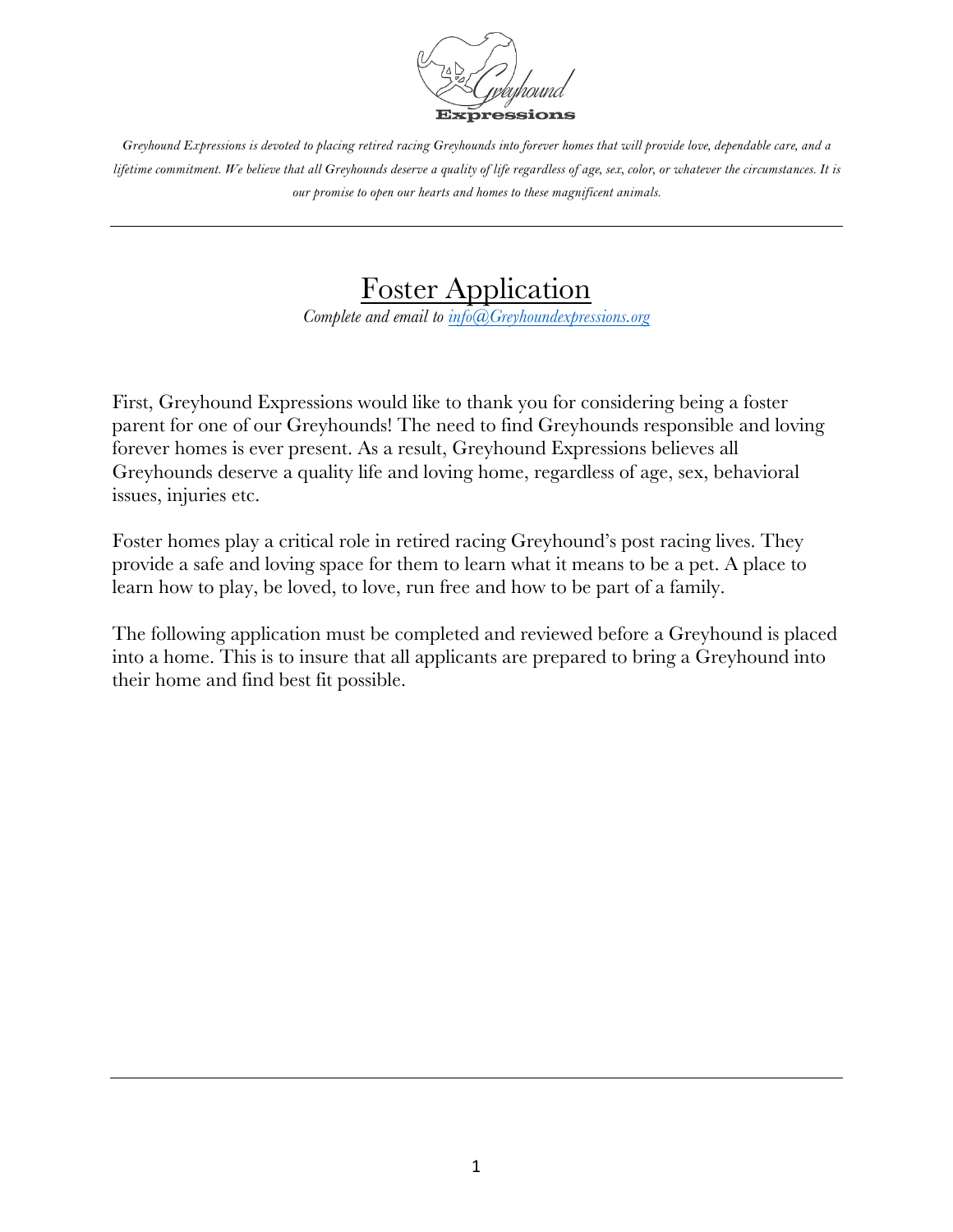

> Foster Application *Complete and email to info@Greyhoundexpressions.org*

First, Greyhound Expressions would like to thank you for considering being a foster parent for one of our Greyhounds! The need to find Greyhounds responsible and loving forever homes is ever present. As a result, Greyhound Expressions believes all Greyhounds deserve a quality life and loving home, regardless of age, sex, behavioral issues, injuries etc.

Foster homes play a critical role in retired racing Greyhound's post racing lives. They provide a safe and loving space for them to learn what it means to be a pet. A place to learn how to play, be loved, to love, run free and how to be part of a family.

The following application must be completed and reviewed before a Greyhound is placed into a home. This is to insure that all applicants are prepared to bring a Greyhound into their home and find best fit possible.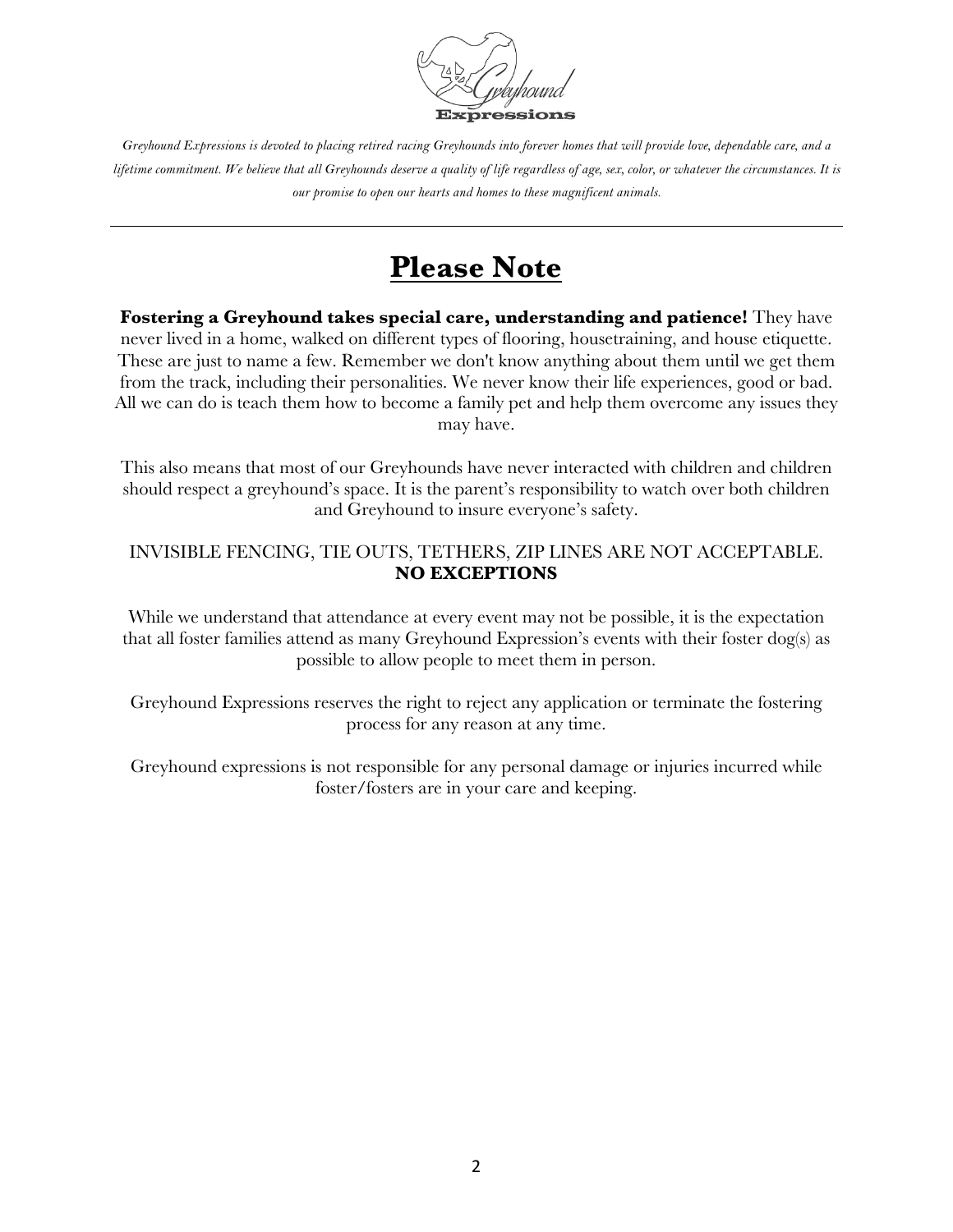

## **Please Note**

**Fostering a Greyhound takes special care, understanding and patience!** They have never lived in a home, walked on different types of flooring, housetraining, and house etiquette. These are just to name a few. Remember we don't know anything about them until we get them from the track, including their personalities. We never know their life experiences, good or bad. All we can do is teach them how to become a family pet and help them overcome any issues they may have.

This also means that most of our Greyhounds have never interacted with children and children should respect a greyhound's space. It is the parent's responsibility to watch over both children and Greyhound to insure everyone's safety.

## INVISIBLE FENCING, TIE OUTS, TETHERS, ZIP LINES ARE NOT ACCEPTABLE. **NO EXCEPTIONS**

While we understand that attendance at every event may not be possible, it is the expectation that all foster families attend as many Greyhound Expression's events with their foster dog(s) as possible to allow people to meet them in person.

Greyhound Expressions reserves the right to reject any application or terminate the fostering process for any reason at any time.

Greyhound expressions is not responsible for any personal damage or injuries incurred while foster/fosters are in your care and keeping.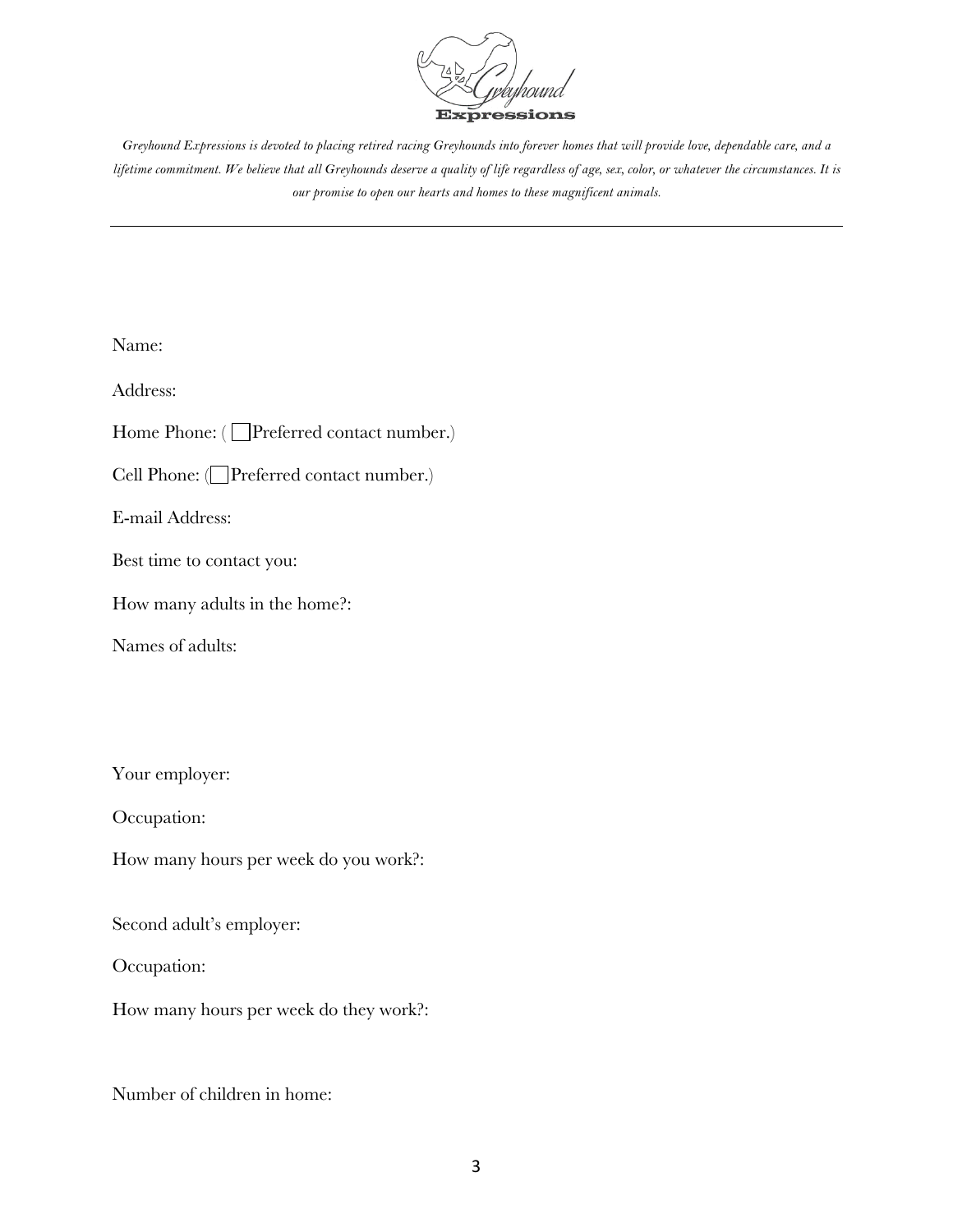

Name:

Address:

Home Phone: (Operferred contact number.)

Cell Phone: (Preferred contact number.)

E-mail Address:

Best time to contact you:

How many adults in the home?:

Names of adults:

Your employer:

Occupation:

How many hours per week do you work?:

Second adult's employer:

Occupation:

How many hours per week do they work?:

Number of children in home: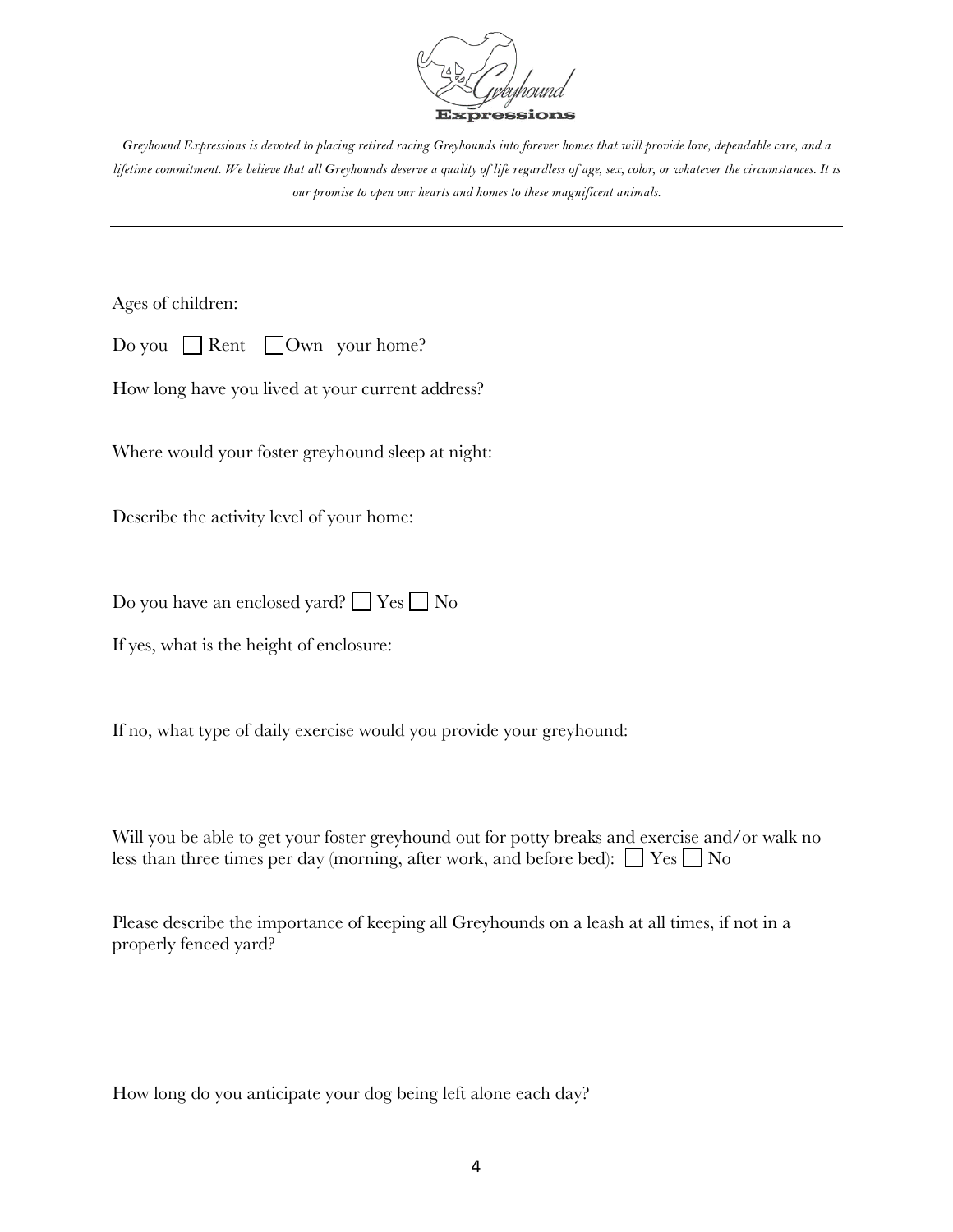

Ages of children:

|  |  |  | Do you $\Box$ Rent $\Box$ Own your home? |
|--|--|--|------------------------------------------|
|--|--|--|------------------------------------------|

How long have you lived at your current address?

Where would your foster greyhound sleep at night:

Describe the activity level of your home:

Do you have an enclosed yard?  $\Box$  Yes  $\Box$  No

If yes, what is the height of enclosure:

If no, what type of daily exercise would you provide your greyhound:

Will you be able to get your foster greyhound out for potty breaks and exercise and/or walk no less than three times per day (morning, after work, and before bed):  $\Box$  Yes  $\Box$  No

Please describe the importance of keeping all Greyhounds on a leash at all times, if not in a properly fenced yard?

How long do you anticipate your dog being left alone each day?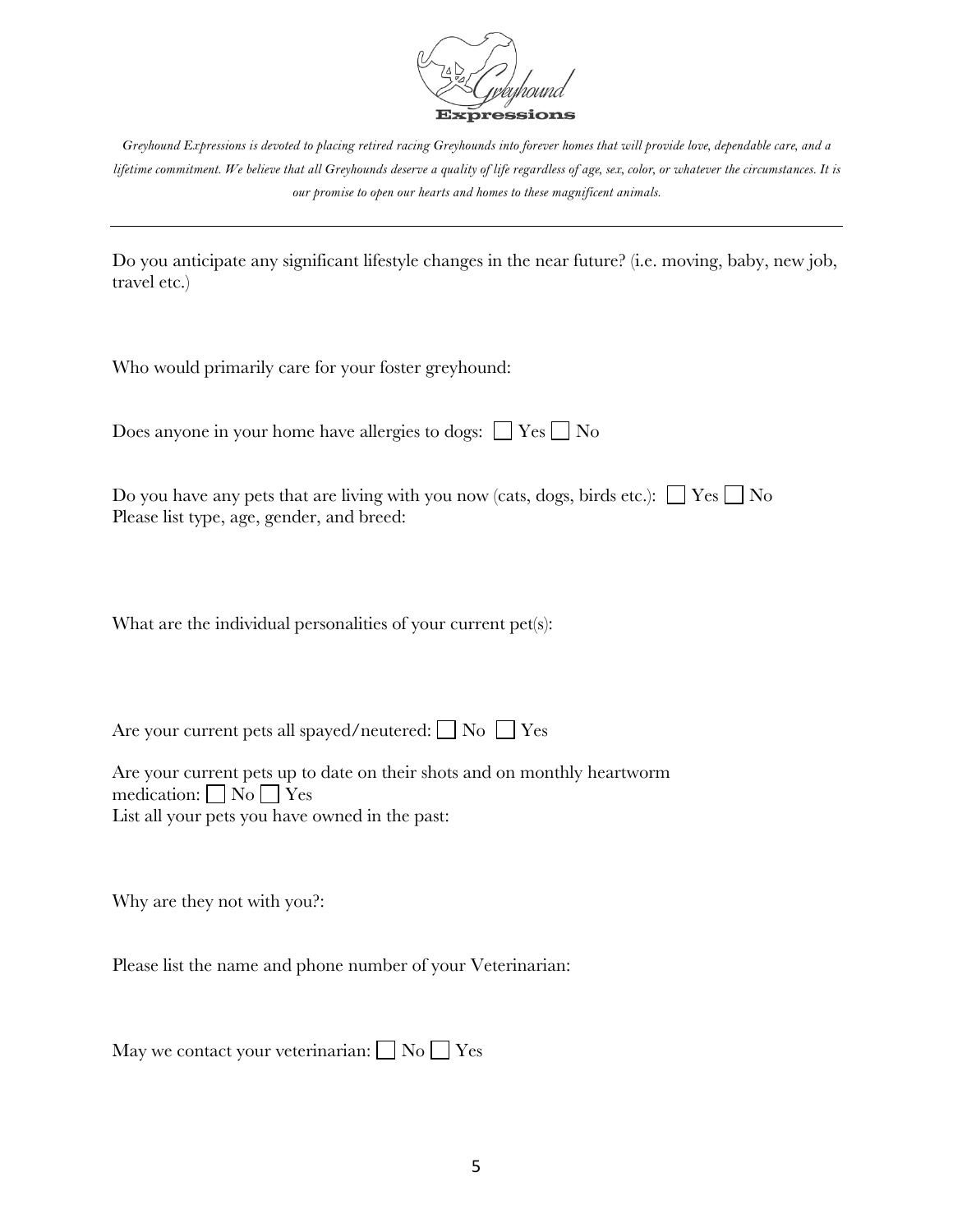

Do you anticipate any significant lifestyle changes in the near future? (i.e. moving, baby, new job, travel etc.)

Who would primarily care for your foster greyhound:

| Does anyone in your home have allergies to dogs: $\Box$ Yes $\Box$ No |  |  |  |  |
|-----------------------------------------------------------------------|--|--|--|--|
|-----------------------------------------------------------------------|--|--|--|--|

| Do you have any pets that are living with you now (cats, dogs, birds etc.): $\Box$ Yes $\Box$ No |  |  |
|--------------------------------------------------------------------------------------------------|--|--|
| Please list type, age, gender, and breed:                                                        |  |  |

What are the individual personalities of your current pet(s):

Are your current pets all spayed/neutered:  $\Box$  No  $\Box$  Yes

Are your current pets up to date on their shots and on monthly heartworm medication:  $\Box$  No  $\Box$  Yes List all your pets you have owned in the past:

Why are they not with you?:

Please list the name and phone number of your Veterinarian:

May we contact your veterinarian:  $\Box$  No  $\Box$  Yes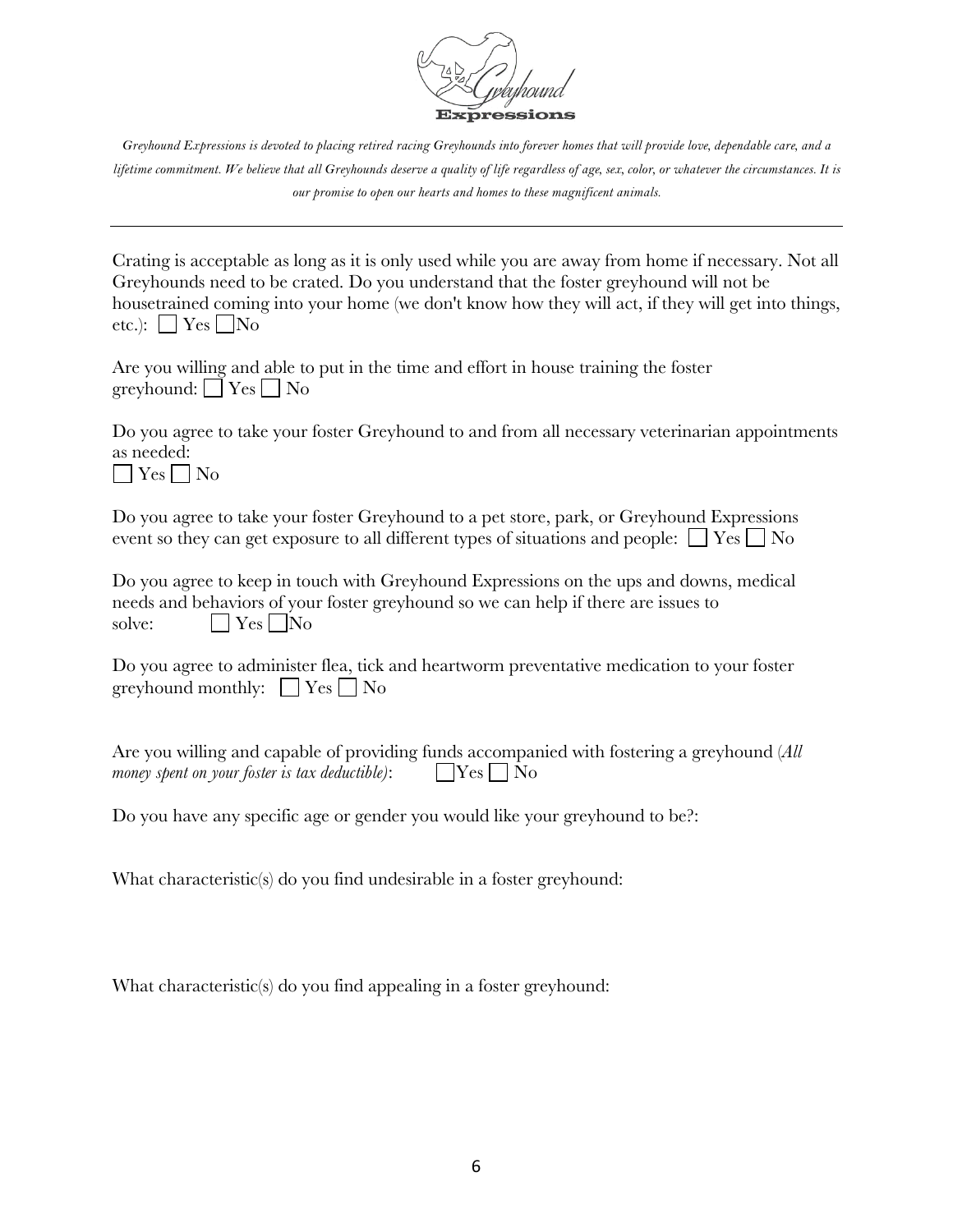

Crating is acceptable as long as it is only used while you are away from home if necessary. Not all Greyhounds need to be crated. Do you understand that the foster greyhound will not be housetrained coming into your home (we don't know how they will act, if they will get into things, etc.):  $\Box$  Yes  $\Box$  No

| Are you willing and able to put in the time and effort in house training the foster |  |  |
|-------------------------------------------------------------------------------------|--|--|
| greyhound: $\Box$ Yes $\Box$ No                                                     |  |  |

Do you agree to take your foster Greyhound to and from all necessary veterinarian appointments as needed:  $\Box$  Yes  $\Box$  No

Do you agree to take your foster Greyhound to a pet store, park, or Greyhound Expressions event so they can get exposure to all different types of situations and people:  $\Box$  Yes  $\Box$  No

Do you agree to keep in touch with Greyhound Expressions on the ups and downs, medical needs and behaviors of your foster greyhound so we can help if there are issues to solve:  $\Box Y$ es  $\Box$ No

| Do you agree to administer flea, tick and heartworm preventative medication to your foster |  |  |  |
|--------------------------------------------------------------------------------------------|--|--|--|
| greyhound monthly: $\Box$ Yes $\Box$ No                                                    |  |  |  |

Are you willing and capable of providing funds accompanied with fostering a greyhound (*All money spent on your foster is tax deductible)*:  $\Box$  Yes  $\Box$  No

Do you have any specific age or gender you would like your greyhound to be?:

What characteristic(s) do you find undesirable in a foster greyhound:

What characteristic(s) do you find appealing in a foster greyhound: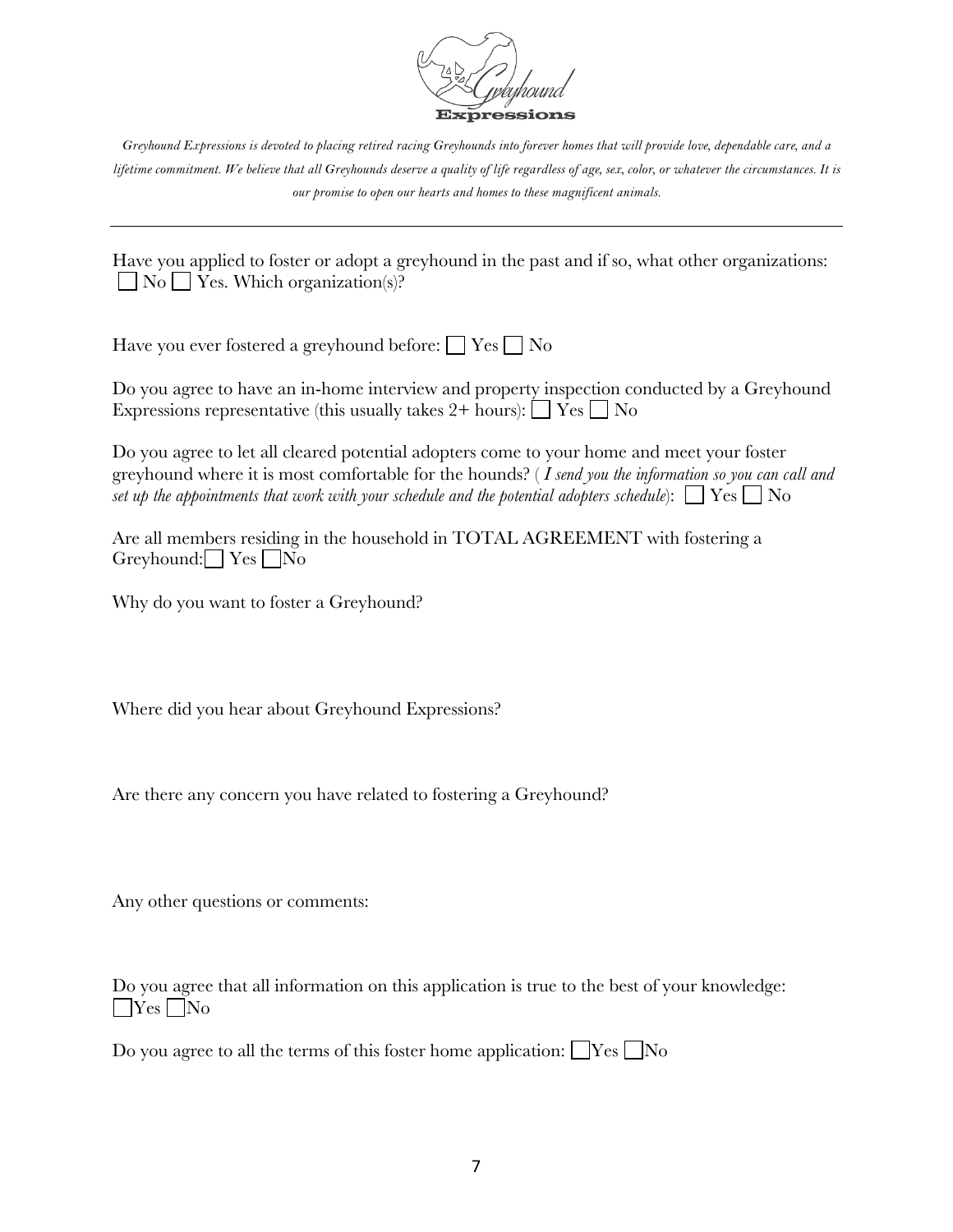

Have you applied to foster or adopt a greyhound in the past and if so, what other organizations:  $\Box$  No  $\Box$  Yes. Which organization(s)?

Have you ever fostered a greyhound before:  $\Box$  Yes  $\Box$  No

Do you agree to have an in-home interview and property inspection conducted by a Greyhound Expressions representative (this usually takes  $2+$  hours):  $\Box$  Yes  $\Box$  No

Do you agree to let all cleared potential adopters come to your home and meet your foster greyhound where it is most comfortable for the hounds? ( *I send you the information so you can call and set up the appointments that work with your schedule and the potential adopters schedule*):  $\Box$  Yes  $\Box$  No

Are all members residing in the household in TOTAL AGREEMENT with fostering a Greyhound:  $Yes$   $No$ 

Why do you want to foster a Greyhound?

Where did you hear about Greyhound Expressions?

Are there any concern you have related to fostering a Greyhound?

Any other questions or comments:

Do you agree that all information on this application is true to the best of your knowledge:  $\Box$ Yes  $\Box$ No

Do you agree to all the terms of this foster home application:  $\blacksquare$  Yes  $\blacksquare$  No